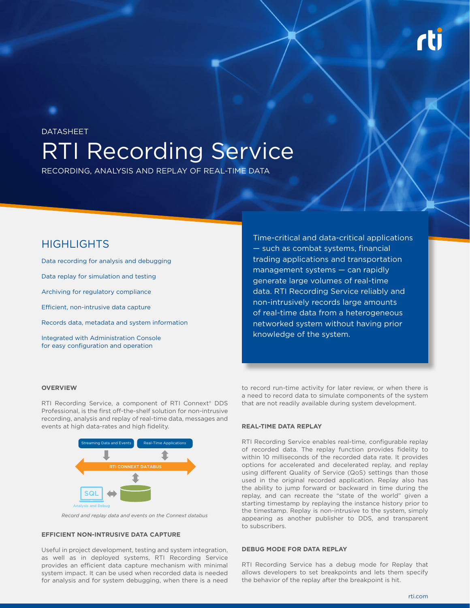# RTI Recording Service DATASHEET

RECORDING, ANALYSIS AND REPLAY OF REAL-TIME DATA

Data recording for analysis and debugging Data replay for simulation and testing Archiving for regulatory compliance Efficient, non-intrusive data capture

Records data, metadata and system information

Integrated with Administration Console for easy configuration and operation

HIGHLIGHTS Time-critical and data-critical applications — such as combat systems, financial trading applications and transportation management systems — can rapidly generate large volumes of real-time data. RTI Recording Service reliably and non-intrusively records large amounts of real-time data from a heterogeneous networked system without having prior knowledge of the system.

#### **OVERVIEW**

RTI Recording Service, a component of RTI Connext® DDS Professional, is the first off-the-shelf solution for non-intrusive recording, analysis and replay of real-time data, messages and events at high data-rates and high fidelity.



*Record and replay data and events on the Connext databus*

### **EFFICIENT NON-INTRUSIVE DATA CAPTURE**

Useful in project development, testing and system integration, as well as in deployed systems, RTI Recording Service provides an efficient data capture mechanism with minimal system impact. It can be used when recorded data is needed for analysis and for system debugging, when there is a need

to record run-time activity for later review, or when there is a need to record data to simulate components of the system that are not readily available during system development.

#### **REAL-TIME DATA REPLAY**

RTI Recording Service enables real-time, configurable replay of recorded data. The replay function provides fidelity to within 10 milliseconds of the recorded data rate. It provides options for accelerated and decelerated replay, and replay using different Quality of Service (QoS) settings than those used in the original recorded application. Replay also has the ability to jump forward or backward in time during the replay, and can recreate the "state of the world" given a starting timestamp by replaying the instance history prior to the timestamp. Replay is non-intrusive to the system, simply appearing as another publisher to DDS, and transparent to subscribers.

#### **DEBUG MODE FOR DATA REPLAY**

RTI Recording Service has a debug mode for Replay that allows developers to set breakpoints and lets them specify the behavior of the replay after the breakpoint is hit.